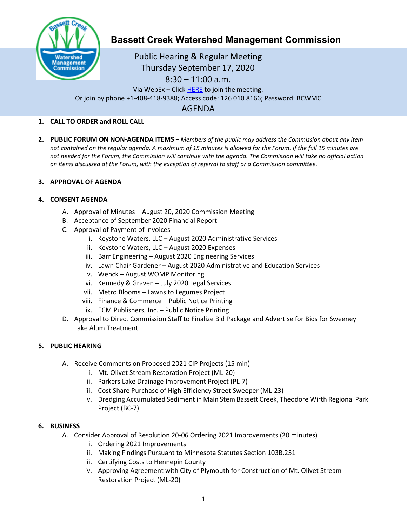

# **Bassett Creek Watershed Management Commission**

# Public Hearing & Regular Meeting Thursday September 17, 2020 8:30 – 11:00 a.m. Via WebEx – Clic[k HERE](https://keystonewatersllc.my.webex.com/keystonewatersllc.my/j.php?MTID=m39f151ef5e126a59f30428600378764d) to join the meeting. Or join by phone +1-408-418-9388; Access code: 126 010 8166; Password: BCWMC

AGENDA

## **1. CALL TO ORDER and ROLL CALL**

**2. PUBLIC FORUM ON NON-AGENDA ITEMS –** *Members of the public may address the Commission about any item not contained on the regular agenda. A maximum of 15 minutes is allowed for the Forum. If the full 15 minutes are not needed for the Forum, the Commission will continue with the agenda. The Commission will take no official action on items discussed at the Forum, with the exception of referral to staff or a Commission committee.*

## **3. APPROVAL OF AGENDA**

## **4. CONSENT AGENDA**

- A. Approval of Minutes August 20, 2020 Commission Meeting
- B. Acceptance of September 2020 Financial Report
- C. Approval of Payment of Invoices
	- i. Keystone Waters, LLC August 2020 Administrative Services
	- ii. Keystone Waters, LLC August 2020 Expenses
	- iii. Barr Engineering August 2020 Engineering Services
	- iv. Lawn Chair Gardener August 2020 Administrative and Education Services
	- v. Wenck August WOMP Monitoring
	- vi. Kennedy & Graven July 2020 Legal Services
	- vii. Metro Blooms Lawns to Legumes Project
	- viii. Finance & Commerce Public Notice Printing
	- ix. ECM Publishers, Inc. Public Notice Printing
- D. Approval to Direct Commission Staff to Finalize Bid Package and Advertise for Bids for Sweeney Lake Alum Treatment

#### **5. PUBLIC HEARING**

- A. Receive Comments on Proposed 2021 CIP Projects (15 min)
	- i. Mt. Olivet Stream Restoration Project (ML-20)
	- ii. Parkers Lake Drainage Improvement Project (PL-7)
	- iii. Cost Share Purchase of High Efficiency Street Sweeper (ML-23)
	- iv. Dredging Accumulated Sediment in Main Stem Bassett Creek, Theodore Wirth Regional Park Project (BC-7)

#### **6. BUSINESS**

- A. Consider Approval of Resolution 20-06 Ordering 2021 Improvements (20 minutes)
	- i. Ordering 2021 Improvements
	- ii. Making Findings Pursuant to Minnesota Statutes Section 103B.251
	- iii. Certifying Costs to Hennepin County
	- iv. Approving Agreement with City of Plymouth for Construction of Mt. Olivet Stream Restoration Project (ML-20)